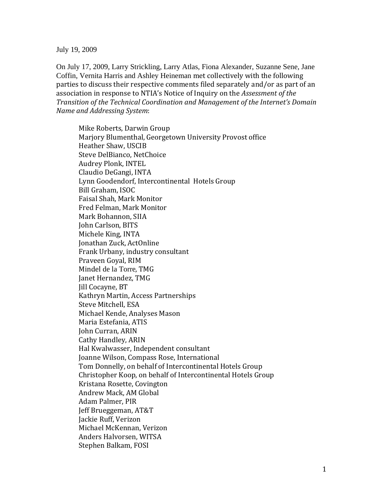July 19, 2009

On July 17, 2009, Larry Strickling, Larry Atlas, Fiona Alexander, Suzanne Sene, Jane Coffin, Vernita Harris and Ashley Heineman met collectively with the following parties to discuss their respective comments filed separately and/or as part of an association in response to NTIA's Notice of Inquiry on the *Assessment of the Transition of the Technical Coordination and Management of the Internet's Domain Name and Addressing System*:

Mike Roberts, Darwin Group Marjory Blumenthal, Georgetown University Provost office Steve DelBianco, NetChoice Heather Shaw, USCIB Audrey Plonk, INTEL Claudio DeGangi, INTA Lynn Goodendorf, Intercontinental Hotels Group Bill Graham, ISOC Faisal Shah, Mark Monitor Fred Felman, Mark Monitor Mark Bohannon, SIIA John Carlson, BITS Michele King, INTA Jonathan Zuck, ActOnline Frank Urbany, industry consultant Praveen Goyal, RIM Mindel de la Torre, TMG Janet Hernandez, TMG Kathryn Martin, Access Partnerships Jill Cocayne, BT Michael Kende, Analyses Mason Steve Mitchell, ESA Maria Estefania, ATIS John Curran, ARIN Cathy Handley, ARIN Hal Kwalwasser, Independent consultant Joanne Wilson, Compass Rose, International Tom Donnelly, on behalf of Intercontinental Hotels Group Christopher Koop, on behalf of Intercontinental Hotels Group Kristana Rosette, Covington Andrew Mack, AM Global Adam Palmer, PIR Jeff Brueggeman, AT&T Michael McKennan, Verizon Jackie Ruff, Verizon Anders Halvorsen, WITSA Stephen Balkam, FOSI